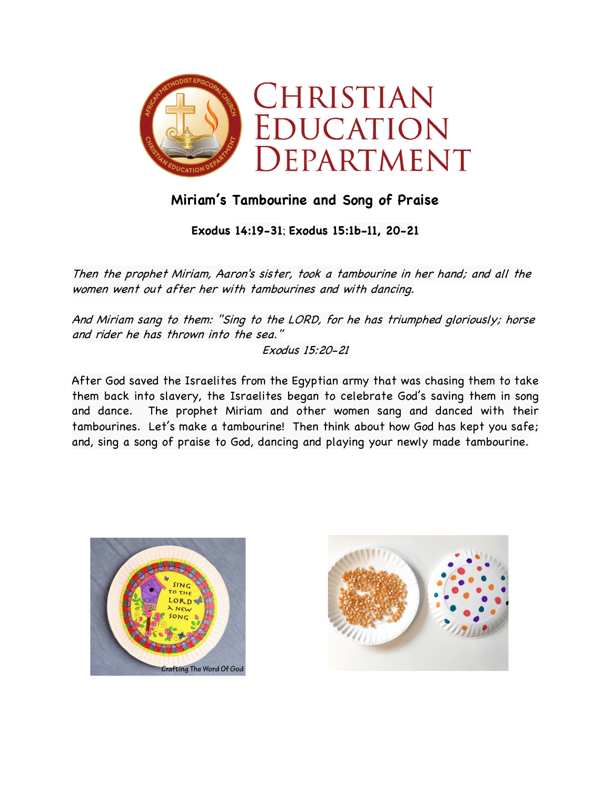

## **Miriam's Tambourine and Song of Praise**

**Exodus 14:19-31**; **Exodus 15:1b-11, 20-21**

Then the prophet Miriam, Aaron's sister, took a tambourine in her hand; and all the women went out after her with tambourines and with dancing.

And Miriam sang to them: "Sing to the LORD, for he has triumphed gloriously; horse and rider he has thrown into the sea."

Exodus 15:20-21

After God saved the Israelites from the Egyptian army that was chasing them to take them back into slavery, the Israelites began to celebrate God's saving them in song and dance. The prophet Miriam and other women sang and danced with their tambourines. Let's make a tambourine! Then think about how God has kept you safe; and, sing a song of praise to God, dancing and playing your newly made tambourine.